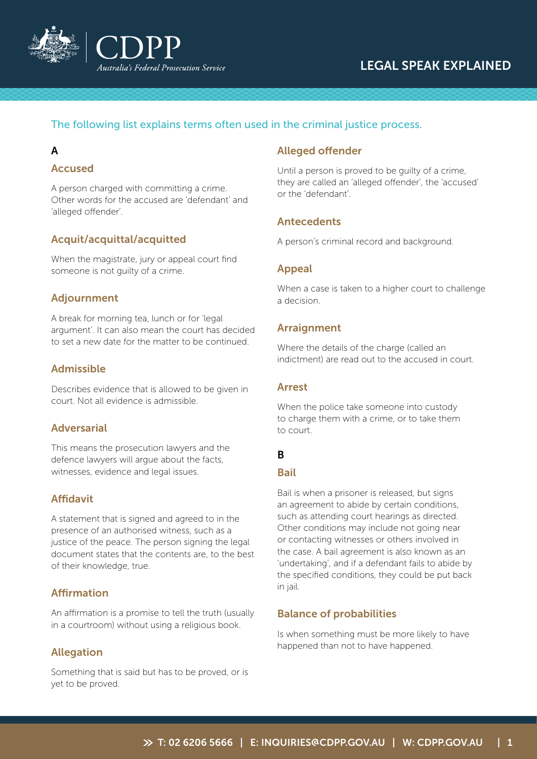

# LEGAL SPEAK EXPLAINED

# The following list explains terms often used in the criminal justice process.

# A

# Accused

A person charged with committing a crime. Other words for the accused are 'defendant' and 'alleged offender'.

# Acquit/acquittal/acquitted

When the magistrate, jury or appeal court find someone is not guilty of a crime.

### Adjournment

A break for morning tea, lunch or for 'legal argument'. It can also mean the court has decided to set a new date for the matter to be continued.

# Admissible

Describes evidence that is allowed to be given in court. Not all evidence is admissible.

### Adversarial

This means the prosecution lawyers and the defence lawyers will argue about the facts, witnesses, evidence and legal issues.

# Affidavit

A statement that is signed and agreed to in the presence of an authorised witness, such as a justice of the peace. The person signing the legal document states that the contents are, to the best of their knowledge, true.

# Affirmation

An affirmation is a promise to tell the truth (usually in a courtroom) without using a religious book.

# **Allegation**

Something that is said but has to be proved, or is yet to be proved.

# Alleged offender

Until a person is proved to be guilty of a crime, they are called an 'alleged offender', the 'accused' or the 'defendant'.

# Antecedents

A person's criminal record and background.

# Appeal

When a case is taken to a higher court to challenge a decision.

# Arraignment

Where the details of the charge (called an indictment) are read out to the accused in court.

# Arrest

When the police take someone into custody to charge them with a crime, or to take them to court.

# B

# Bail

Bail is when a prisoner is released, but signs an agreement to abide by certain conditions, such as attending court hearings as directed. Other conditions may include not going near or contacting witnesses or others involved in the case. A bail agreement is also known as an 'undertaking', and if a defendant fails to abide by the specified conditions, they could be put back in jail.

# Balance of probabilities

Is when something must be more likely to have happened than not to have happened.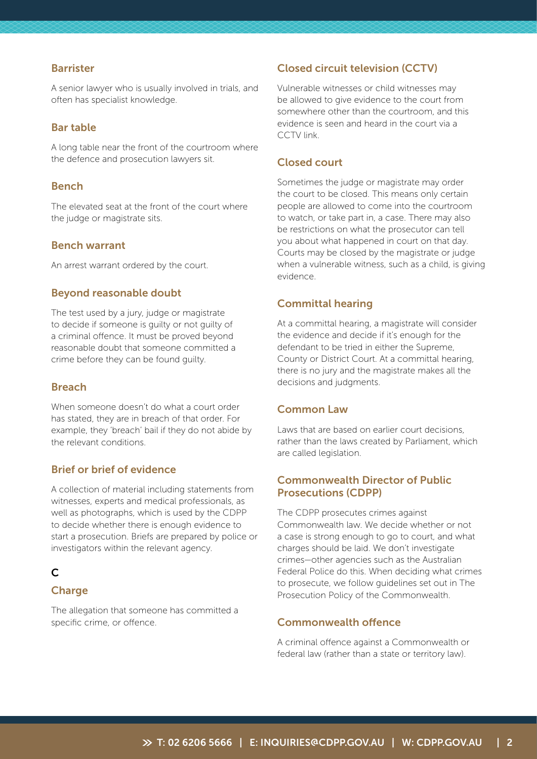#### Barrister

A senior lawyer who is usually involved in trials, and often has specialist knowledge.

### Bar table

A long table near the front of the courtroom where the defence and prosecution lawyers sit.

### Bench

The elevated seat at the front of the court where the judge or magistrate sits.

#### Bench warrant

An arrest warrant ordered by the court.

#### Beyond reasonable doubt

The test used by a jury, judge or magistrate to decide if someone is guilty or not guilty of a criminal offence. It must be proved beyond reasonable doubt that someone committed a crime before they can be found guilty.

#### Breach

When someone doesn't do what a court order has stated, they are in breach of that order. For example, they 'breach' bail if they do not abide by the relevant conditions.

# Brief or brief of evidence

A collection of material including statements from witnesses, experts and medical professionals, as well as photographs, which is used by the CDPP to decide whether there is enough evidence to start a prosecution. Briefs are prepared by police or investigators within the relevant agency.

# C

# **Charge**

The allegation that someone has committed a specific crime, or offence.

### Closed circuit television (CCTV)

Vulnerable witnesses or child witnesses may be allowed to give evidence to the court from somewhere other than the courtroom, and this evidence is seen and heard in the court via a CCTV link.

### Closed court

Sometimes the judge or magistrate may order the court to be closed. This means only certain people are allowed to come into the courtroom to watch, or take part in, a case. There may also be restrictions on what the prosecutor can tell you about what happened in court on that day. Courts may be closed by the magistrate or judge when a vulnerable witness, such as a child, is giving evidence.

#### Committal hearing

At a committal hearing, a magistrate will consider the evidence and decide if it's enough for the defendant to be tried in either the Supreme, County or District Court. At a committal hearing, there is no jury and the magistrate makes all the decisions and judgments.

# Common Law

Laws that are based on earlier court decisions, rather than the laws created by Parliament, which are called legislation.

# Commonwealth Director of Public Prosecutions (CDPP)

The CDPP prosecutes crimes against Commonwealth law. We decide whether or not a case is strong enough to go to court, and what charges should be laid. We don't investigate crimes—other agencies such as the Australian Federal Police do this. When deciding what crimes to prosecute, we follow guidelines set out in The Prosecution Policy of the Commonwealth.

#### Commonwealth offence

A criminal offence against a Commonwealth or federal law (rather than a state or territory law).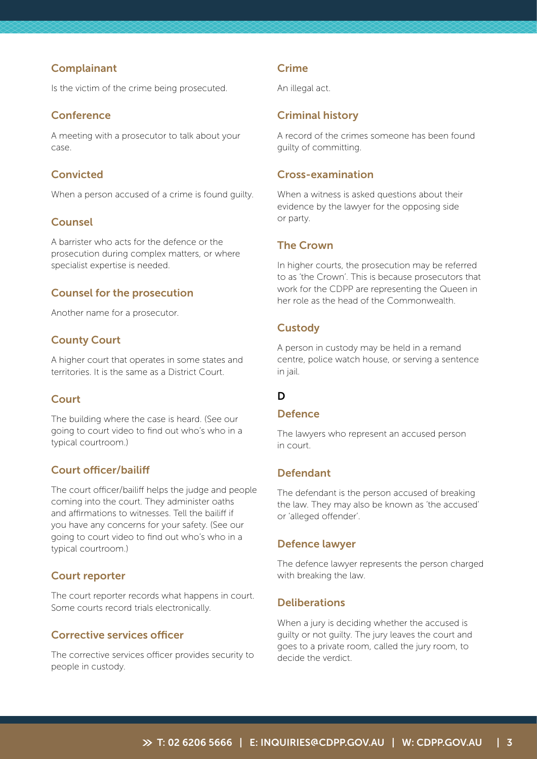### **Complainant**

Is the victim of the crime being prosecuted.

### **Conference**

A meeting with a prosecutor to talk about your case.

# Convicted

When a person accused of a crime is found guilty.

# Counsel

A barrister who acts for the defence or the prosecution during complex matters, or where specialist expertise is needed.

# Counsel for the prosecution

Another name for a prosecutor.

# County Court

A higher court that operates in some states and territories. It is the same as a District Court.

# **Court**

The building where the case is heard. (See our going to court video to find out who's who in a typical courtroom.)

# Court officer/bailiff

The court officer/bailiff helps the judge and people coming into the court. They administer oaths and affirmations to witnesses. Tell the bailiff if you have any concerns for your safety. (See our going to court video to find out who's who in a typical courtroom.)

# Court reporter

The court reporter records what happens in court. Some courts record trials electronically.

# Corrective services officer

The corrective services officer provides security to people in custody.

# Crime

An illegal act.

# Criminal history

A record of the crimes someone has been found guilty of committing.

### Cross-examination

When a witness is asked questions about their evidence by the lawyer for the opposing side or party.

# The Crown

In higher courts, the prosecution may be referred to as 'the Crown'. This is because prosecutors that work for the CDPP are representing the Queen in her role as the head of the Commonwealth.

# **Custody**

A person in custody may be held in a remand centre, police watch house, or serving a sentence in jail.

# D

### **Defence**

The lawyers who represent an accused person in court.

# Defendant

The defendant is the person accused of breaking the law. They may also be known as 'the accused' or 'alleged offender'.

# Defence lawyer

The defence lawyer represents the person charged with breaking the law.

# **Deliberations**

When a jury is deciding whether the accused is guilty or not guilty. The jury leaves the court and goes to a private room, called the jury room, to decide the verdict.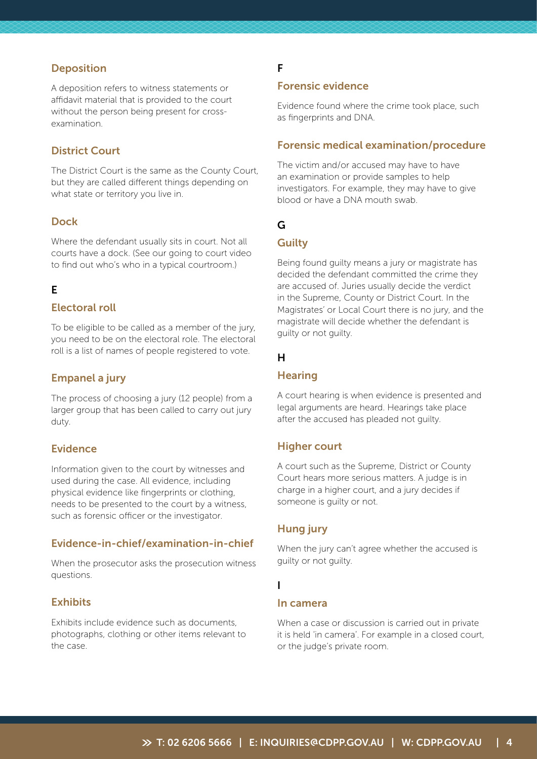# **Deposition**

A deposition refers to witness statements or affidavit material that is provided to the court without the person being present for crossexamination.

# District Court

The District Court is the same as the County Court, but they are called different things depending on what state or territory you live in.

### Dock

Where the defendant usually sits in court. Not all courts have a dock. (See our going to court video to find out who's who in a typical courtroom.)

### E

### Electoral roll

To be eligible to be called as a member of the jury, you need to be on the electoral role. The electoral roll is a list of names of people registered to vote.

#### Empanel a jury

The process of choosing a jury (12 people) from a larger group that has been called to carry out jury duty.

#### Evidence

Information given to the court by witnesses and used during the case. All evidence, including physical evidence like fingerprints or clothing, needs to be presented to the court by a witness, such as forensic officer or the investigator.

### Evidence-in-chief/examination-in-chief

When the prosecutor asks the prosecution witness questions.

#### **Exhibits**

Exhibits include evidence such as documents, photographs, clothing or other items relevant to the case.

# F

# Forensic evidence

Evidence found where the crime took place, such as fingerprints and DNA.

### Forensic medical examination/procedure

The victim and/or accused may have to have an examination or provide samples to help investigators. For example, they may have to give blood or have a DNA mouth swab.

# G

### **Guilty**

Being found guilty means a jury or magistrate has decided the defendant committed the crime they are accused of. Juries usually decide the verdict in the Supreme, County or District Court. In the Magistrates' or Local Court there is no jury, and the magistrate will decide whether the defendant is guilty or not guilty.

#### H

#### **Hearing**

A court hearing is when evidence is presented and legal arguments are heard. Hearings take place after the accused has pleaded not guilty.

#### Higher court

A court such as the Supreme, District or County Court hears more serious matters. A judge is in charge in a higher court, and a jury decides if someone is guilty or not.

#### Hung jury

When the jury can't agree whether the accused is guilty or not guilty.

#### I

#### In camera

When a case or discussion is carried out in private it is held 'in camera'. For example in a closed court, or the judge's private room.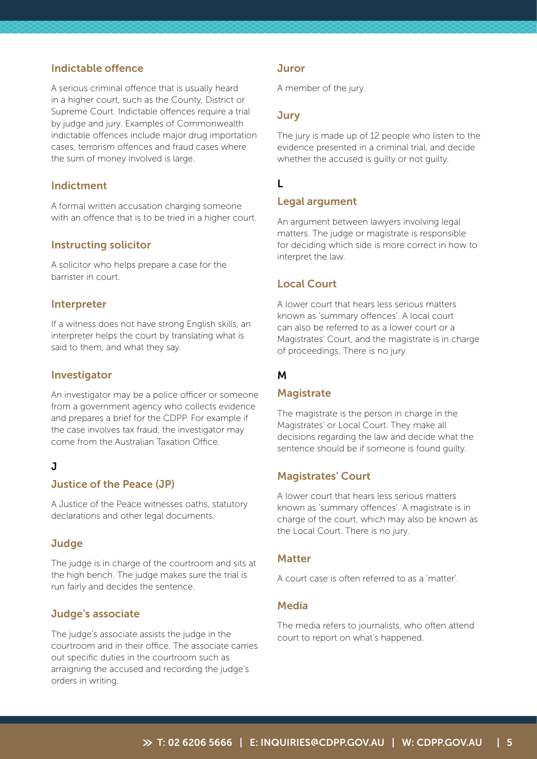### Indictable offence

A serious criminal offence that is usually heard in a higher court, such as the County, District or Supreme Court. Indictable offences require a trial by judge and jury. Examples of Commonwealth indictable offences include major drug importation cases, terrorism offences and fraud cases where the sum of money involved is large.

#### Indictment

A formal written accusation charging someone with an offence that is to be tried in a higher court.

#### Instructing solicitor

A solicitor who helps prepare a case for the barrister in court.

#### Interpreter

If a witness does not have strong English skills, an interpreter helps the court by translating what is said to them, and what they say.

#### Investigator

An investigator may be a police officer or someone from a government agency who collects evidence and prepares a brief for the CDPP. For example if the case involves tax fraud, the investigator may come from the Australian Taxation Office.

### J

#### Justice of the Peace (JP)

A Justice of the Peace witnesses oaths, statutory declarations and other legal documents.

#### **Judge**

The judge is in charge of the courtroom and sits at the high bench. The judge makes sure the trial is run fairly and decides the sentence.

#### Judge's associate

The judge's associate assists the judge in the courtroom and in their office. The associate carries out specific duties in the courtroom such as arraigning the accused and recording the judge's orders in writing.

#### **Juror**

A member of the jury.

#### **Jury**

The jury is made up of 12 people who listen to the evidence presented in a criminal trial, and decide whether the accused is guilty or not guilty.

# L

#### Legal argument

An argument between lawyers involving legal matters. The judge or magistrate is responsible for deciding which side is more correct in how to interpret the law.

### Local Court

A lower court that hears less serious matters known as 'summary offences'. A local court can also be referred to as a lower court or a Magistrates' Court, and the magistrate is in charge of proceedings. There is no jury.

#### M

#### **Magistrate**

The magistrate is the person in charge in the Magistrates' or Local Court. They make all decisions regarding the law and decide what the sentence should be if someone is found guilty.

#### Magistrates' Court

A lower court that hears less serious matters known as 'summary offences'. A magistrate is in charge of the court, which may also be known as the Local Court. There is no jury.

#### Matter

A court case is often referred to as a 'matter'.

### Media

The media refers to journalists, who often attend court to report on what's happened.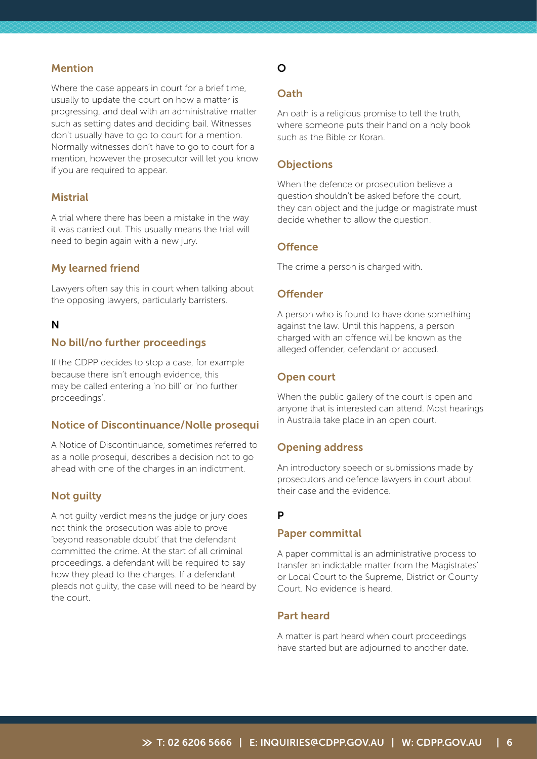### Mention

Where the case appears in court for a brief time, usually to update the court on how a matter is progressing, and deal with an administrative matter such as setting dates and deciding bail. Witnesses don't usually have to go to court for a mention. Normally witnesses don't have to go to court for a mention, however the prosecutor will let you know if you are required to appear.

#### **Mistrial**

A trial where there has been a mistake in the way it was carried out. This usually means the trial will need to begin again with a new jury.

### My learned friend

Lawyers often say this in court when talking about the opposing lawyers, particularly barristers.

#### N

#### No bill/no further proceedings

If the CDPP decides to stop a case, for example because there isn't enough evidence, this may be called entering a 'no bill' or 'no further proceedings'.

#### Notice of Discontinuance/Nolle prosequi

A Notice of Discontinuance, sometimes referred to as a nolle prosequi, describes a decision not to go ahead with one of the charges in an indictment.

#### Not guilty

A not guilty verdict means the judge or jury does not think the prosecution was able to prove 'beyond reasonable doubt' that the defendant committed the crime. At the start of all criminal proceedings, a defendant will be required to say how they plead to the charges. If a defendant pleads not guilty, the case will need to be heard by the court.

# O

### **Oath**

An oath is a religious promise to tell the truth, where someone puts their hand on a holy book such as the Bible or Koran.

#### **Objections**

When the defence or prosecution believe a question shouldn't be asked before the court, they can object and the judge or magistrate must decide whether to allow the question.

#### **Offence**

The crime a person is charged with.

#### **Offender**

A person who is found to have done something against the law. Until this happens, a person charged with an offence will be known as the alleged offender, defendant or accused.

#### Open court

When the public gallery of the court is open and anyone that is interested can attend. Most hearings in Australia take place in an open court.

#### Opening address

An introductory speech or submissions made by prosecutors and defence lawyers in court about their case and the evidence.

#### P

#### Paper committal

A paper committal is an administrative process to transfer an indictable matter from the Magistrates' or Local Court to the Supreme, District or County Court. No evidence is heard.

### Part heard

A matter is part heard when court proceedings have started but are adjourned to another date.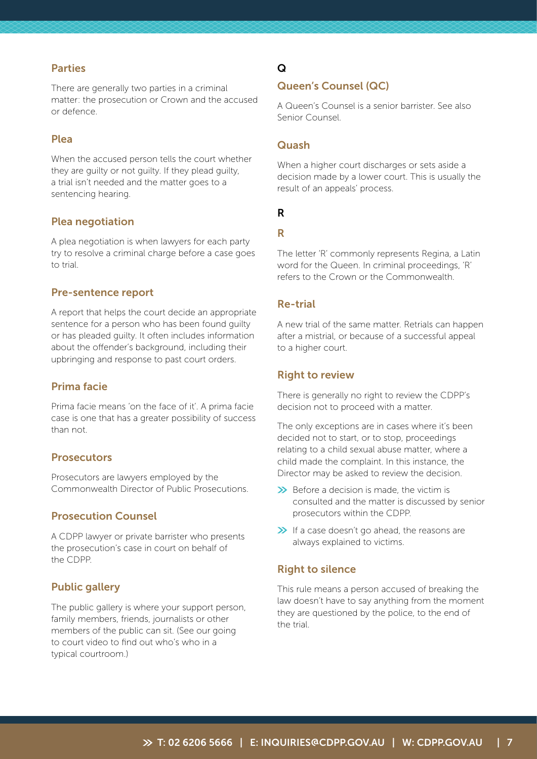#### Parties

There are generally two parties in a criminal matter: the prosecution or Crown and the accused or defence.

### Plea

When the accused person tells the court whether they are guilty or not guilty. If they plead guilty, a trial isn't needed and the matter goes to a sentencing hearing.

#### Plea negotiation

A plea negotiation is when lawyers for each party try to resolve a criminal charge before a case goes to trial.

#### Pre-sentence report

A report that helps the court decide an appropriate sentence for a person who has been found guilty or has pleaded guilty. It often includes information about the offender's background, including their upbringing and response to past court orders.

### Prima facie

Prima facie means 'on the face of it'. A prima facie case is one that has a greater possibility of success than not.

#### **Prosecutors**

Prosecutors are lawyers employed by the Commonwealth Director of Public Prosecutions.

#### Prosecution Counsel

A CDPP lawyer or private barrister who presents the prosecution's case in court on behalf of the CDPP.

### Public gallery

The public gallery is where your support person, family members, friends, journalists or other members of the public can sit. (See our going to court video to find out who's who in a typical courtroom.)

# Q

### Queen's Counsel (QC)

A Queen's Counsel is a senior barrister. See also Senior Counsel.

### Quash

When a higher court discharges or sets aside a decision made by a lower court. This is usually the result of an appeals' process.

# R

#### R

The letter 'R' commonly represents Regina, a Latin word for the Queen. In criminal proceedings, 'R' refers to the Crown or the Commonwealth.

### Re-trial

A new trial of the same matter. Retrials can happen after a mistrial, or because of a successful appeal to a higher court.

#### Right to review

There is generally no right to review the CDPP's decision not to proceed with a matter.

The only exceptions are in cases where it's been decided not to start, or to stop, proceedings relating to a child sexual abuse matter, where a child made the complaint. In this instance, the Director may be asked to review the decision.

- $\gg$  Before a decision is made, the victim is consulted and the matter is discussed by senior prosecutors within the CDPP.
- If a case doesn't go ahead, the reasons are always explained to victims.

#### Right to silence

This rule means a person accused of breaking the law doesn't have to say anything from the moment they are questioned by the police, to the end of the trial.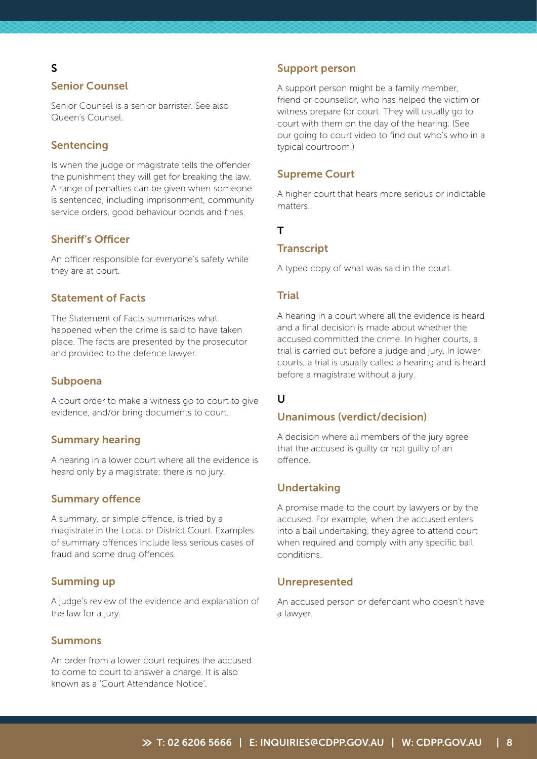# S

# Senior Counsel

Senior Counsel is a senior barrister. See also Queen's Counsel.

# Sentencing

Is when the judge or magistrate tells the offender the punishment they will get for breaking the law. A range of penalties can be given when someone is sentenced, including imprisonment, community service orders, good behaviour bonds and fines.

### Sheriff's Officer

An officer responsible for everyone's safety while they are at court.

# Statement of Facts

The Statement of Facts summarises what happened when the crime is said to have taken place. The facts are presented by the prosecutor and provided to the defence lawyer.

#### Subpoena

A court order to make a witness go to court to give evidence, and/or bring documents to court.

#### Summary hearing

A hearing in a lower court where all the evidence is heard only by a magistrate; there is no jury.

### Summary offence

A summary, or simple offence, is tried by a magistrate in the Local or District Court. Examples of summary offences include less serious cases of fraud and some drug offences.

#### Summing up

A judge's review of the evidence and explanation of the law for a jury.

#### Summons

An order from a lower court requires the accused to come to court to answer a charge. It is also known as a 'Court Attendance Notice'.

#### Support person

A support person might be a family member, friend or counsellor, who has helped the victim or witness prepare for court. They will usually go to court with them on the day of the hearing. (See our going to court video to find out who's who in a typical courtroom.)

#### Supreme Court

A higher court that hears more serious or indictable matters.

# T

#### **Transcript**

A typed copy of what was said in the court.

#### **Trial**

A hearing in a court where all the evidence is heard and a final decision is made about whether the accused committed the crime. In higher courts, a trial is carried out before a judge and jury. In lower courts, a trial is usually called a hearing and is heard before a magistrate without a jury.

# U

### Unanimous (verdict/decision)

A decision where all members of the jury agree that the accused is guilty or not guilty of an offence.

#### Undertaking

A promise made to the court by lawyers or by the accused. For example, when the accused enters into a bail undertaking, they agree to attend court when required and comply with any specific bail conditions.

#### Unrepresented

An accused person or defendant who doesn't have a lawyer.